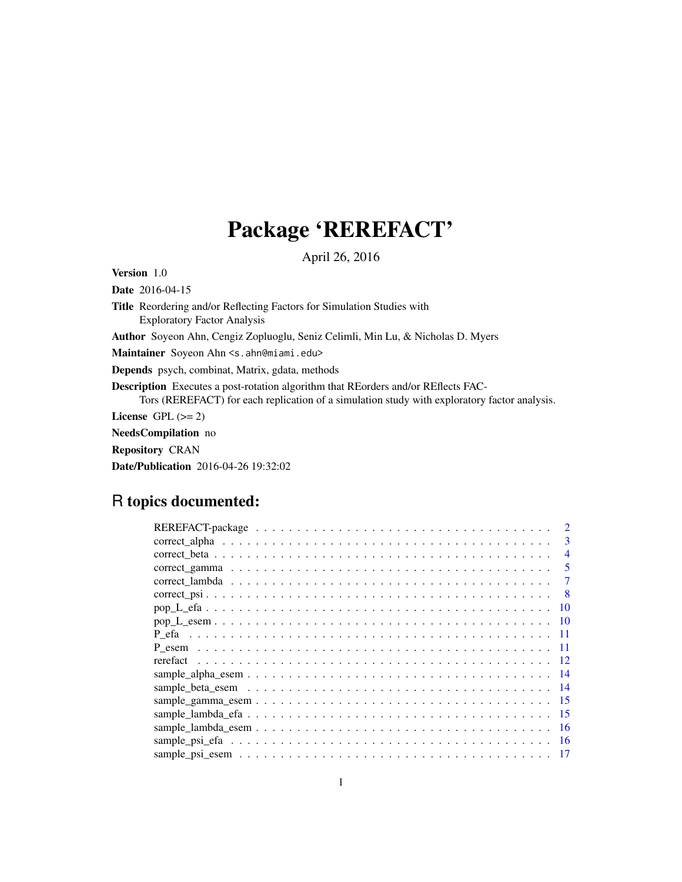# Package 'REREFACT'

April 26, 2016

Version 1.0

Date 2016-04-15

Title Reordering and/or Reflecting Factors for Simulation Studies with Exploratory Factor Analysis

Author Soyeon Ahn, Cengiz Zopluoglu, Seniz Celimli, Min Lu, & Nicholas D. Myers

Maintainer Soyeon Ahn <s.ahn@miami.edu>

Depends psych, combinat, Matrix, gdata, methods

Description Executes a post-rotation algorithm that REorders and/or REflects FAC-Tors (REREFACT) for each replication of a simulation study with exploratory factor analysis.

License GPL  $(>= 2)$ 

NeedsCompilation no

Repository CRAN

Date/Publication 2016-04-26 19:32:02

# R topics documented:

| 3                        |
|--------------------------|
| $\overline{\mathcal{A}}$ |
| 5                        |
|                          |
| -8                       |
| 10                       |
|                          |
| -11                      |
|                          |
|                          |
|                          |
|                          |
| -15                      |
| -15                      |
| -16                      |
|                          |
|                          |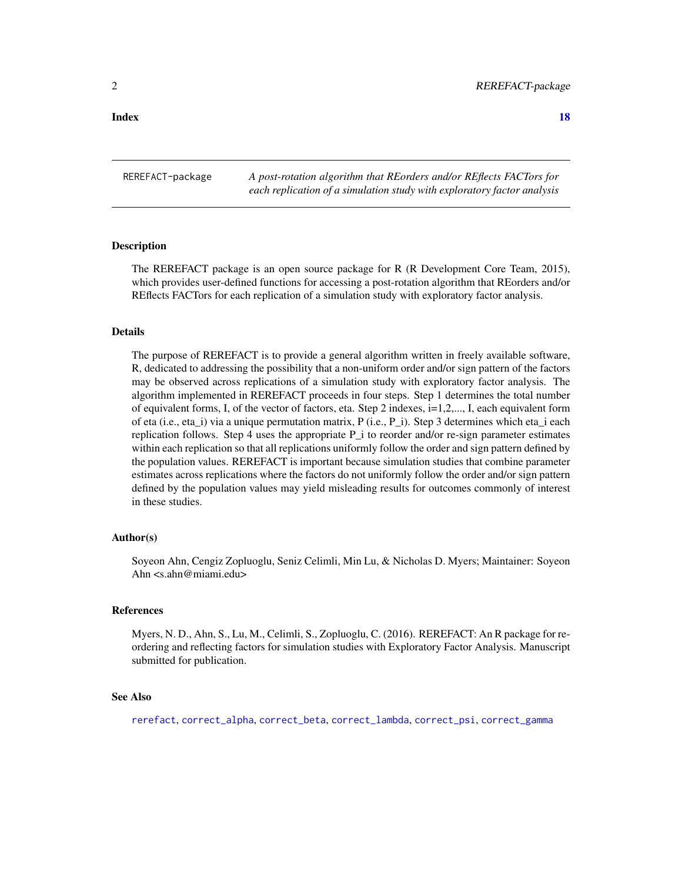#### <span id="page-1-0"></span>**Index** 2008 **[18](#page-17-0)**

REREFACT-package *A post-rotation algorithm that REorders and/or REflects FACTors for each replication of a simulation study with exploratory factor analysis*

#### Description

The REREFACT package is an open source package for R (R Development Core Team, 2015), which provides user-defined functions for accessing a post-rotation algorithm that REorders and/or REflects FACTors for each replication of a simulation study with exploratory factor analysis.

#### Details

The purpose of REREFACT is to provide a general algorithm written in freely available software, R, dedicated to addressing the possibility that a non-uniform order and/or sign pattern of the factors may be observed across replications of a simulation study with exploratory factor analysis. The algorithm implemented in REREFACT proceeds in four steps. Step 1 determines the total number of equivalent forms, I, of the vector of factors, eta. Step 2 indexes,  $i=1,2,..., I$ , each equivalent form of eta (i.e., eta\_i) via a unique permutation matrix, P (i.e., P\_i). Step 3 determines which eta\_i each replication follows. Step 4 uses the appropriate P\_i to reorder and/or re-sign parameter estimates within each replication so that all replications uniformly follow the order and sign pattern defined by the population values. REREFACT is important because simulation studies that combine parameter estimates across replications where the factors do not uniformly follow the order and/or sign pattern defined by the population values may yield misleading results for outcomes commonly of interest in these studies.

#### Author(s)

Soyeon Ahn, Cengiz Zopluoglu, Seniz Celimli, Min Lu, & Nicholas D. Myers; Maintainer: Soyeon Ahn <s.ahn@miami.edu>

#### References

Myers, N. D., Ahn, S., Lu, M., Celimli, S., Zopluoglu, C. (2016). REREFACT: An R package for reordering and reflecting factors for simulation studies with Exploratory Factor Analysis. Manuscript submitted for publication.

#### See Also

[rerefact](#page-11-1), [correct\\_alpha](#page-2-1), [correct\\_beta](#page-3-1), [correct\\_lambda](#page-6-1), [correct\\_psi](#page-7-1), [correct\\_gamma](#page-4-1)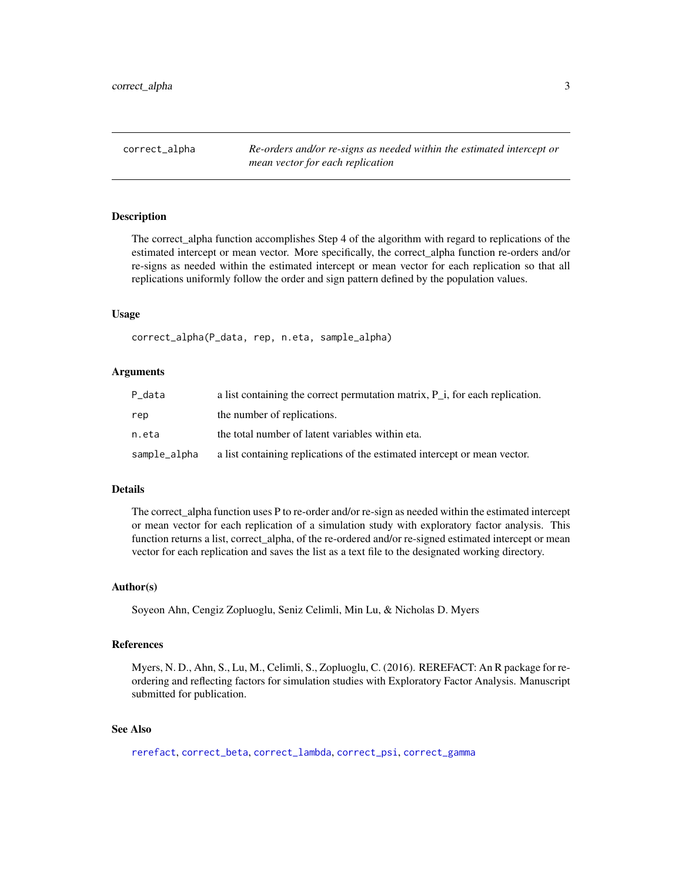<span id="page-2-1"></span><span id="page-2-0"></span>correct\_alpha *Re-orders and/or re-signs as needed within the estimated intercept or mean vector for each replication*

#### Description

The correct\_alpha function accomplishes Step 4 of the algorithm with regard to replications of the estimated intercept or mean vector. More specifically, the correct\_alpha function re-orders and/or re-signs as needed within the estimated intercept or mean vector for each replication so that all replications uniformly follow the order and sign pattern defined by the population values.

#### Usage

correct\_alpha(P\_data, rep, n.eta, sample\_alpha)

#### Arguments

| P_data       | a list containing the correct permutation matrix, $P_i$ , for each replication. |
|--------------|---------------------------------------------------------------------------------|
| rep          | the number of replications.                                                     |
| n.eta        | the total number of latent variables within eta.                                |
| sample_alpha | a list containing replications of the estimated intercept or mean vector.       |

#### Details

The correct\_alpha function uses P to re-order and/or re-sign as needed within the estimated intercept or mean vector for each replication of a simulation study with exploratory factor analysis. This function returns a list, correct\_alpha, of the re-ordered and/or re-signed estimated intercept or mean vector for each replication and saves the list as a text file to the designated working directory.

#### Author(s)

Soyeon Ahn, Cengiz Zopluoglu, Seniz Celimli, Min Lu, & Nicholas D. Myers

#### References

Myers, N. D., Ahn, S., Lu, M., Celimli, S., Zopluoglu, C. (2016). REREFACT: An R package for reordering and reflecting factors for simulation studies with Exploratory Factor Analysis. Manuscript submitted for publication.

# See Also

[rerefact](#page-11-1), [correct\\_beta](#page-3-1), [correct\\_lambda](#page-6-1), [correct\\_psi](#page-7-1), [correct\\_gamma](#page-4-1)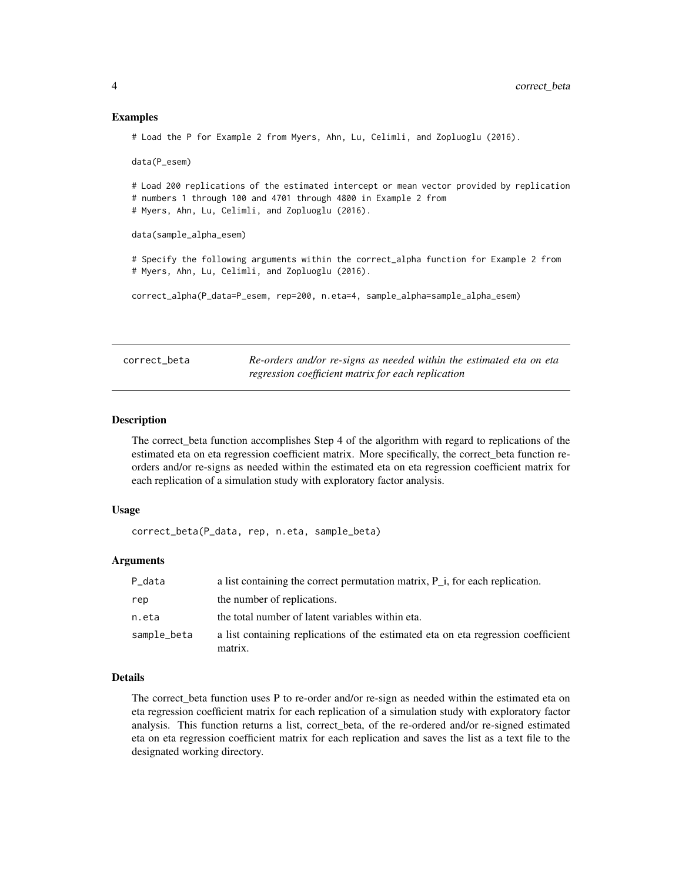#### Examples

# Load the P for Example 2 from Myers, Ahn, Lu, Celimli, and Zopluoglu (2016).

data(P\_esem)

# Load 200 replications of the estimated intercept or mean vector provided by replication # numbers 1 through 100 and 4701 through 4800 in Example 2 from # Myers, Ahn, Lu, Celimli, and Zopluoglu (2016).

data(sample\_alpha\_esem)

# Specify the following arguments within the correct\_alpha function for Example 2 from # Myers, Ahn, Lu, Celimli, and Zopluoglu (2016).

correct\_alpha(P\_data=P\_esem, rep=200, n.eta=4, sample\_alpha=sample\_alpha\_esem)

<span id="page-3-1"></span>

| correct beta | Re-orders and/or re-signs as needed within the estimated eta on eta |
|--------------|---------------------------------------------------------------------|
|              | regression coefficient matrix for each replication                  |

#### Description

The correct\_beta function accomplishes Step 4 of the algorithm with regard to replications of the estimated eta on eta regression coefficient matrix. More specifically, the correct\_beta function reorders and/or re-signs as needed within the estimated eta on eta regression coefficient matrix for each replication of a simulation study with exploratory factor analysis.

#### Usage

correct\_beta(P\_data, rep, n.eta, sample\_beta)

#### Arguments

| P_data      | a list containing the correct permutation matrix, $P_i$ , for each replication.              |
|-------------|----------------------------------------------------------------------------------------------|
| rep         | the number of replications.                                                                  |
| n.eta       | the total number of latent variables within eta.                                             |
| sample_beta | a list containing replications of the estimated eta on eta regression coefficient<br>matrix. |

#### Details

The correct\_beta function uses P to re-order and/or re-sign as needed within the estimated eta on eta regression coefficient matrix for each replication of a simulation study with exploratory factor analysis. This function returns a list, correct\_beta, of the re-ordered and/or re-signed estimated eta on eta regression coefficient matrix for each replication and saves the list as a text file to the designated working directory.

<span id="page-3-0"></span>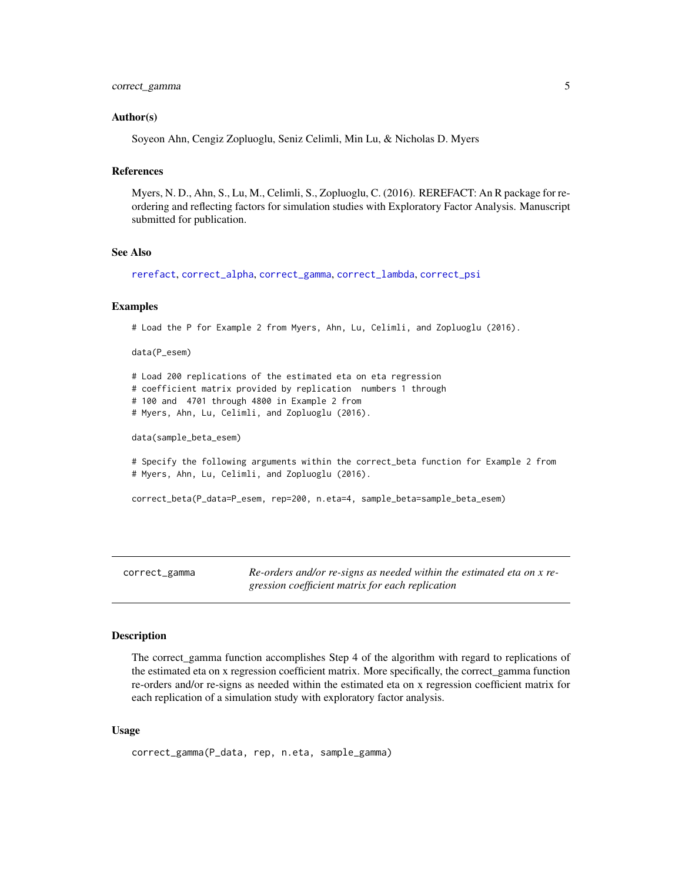# <span id="page-4-0"></span>correct\_gamma 5

#### Author(s)

Soyeon Ahn, Cengiz Zopluoglu, Seniz Celimli, Min Lu, & Nicholas D. Myers

# References

Myers, N. D., Ahn, S., Lu, M., Celimli, S., Zopluoglu, C. (2016). REREFACT: An R package for reordering and reflecting factors for simulation studies with Exploratory Factor Analysis. Manuscript submitted for publication.

#### See Also

[rerefact](#page-11-1), [correct\\_alpha](#page-2-1), [correct\\_gamma](#page-4-1), [correct\\_lambda](#page-6-1), [correct\\_psi](#page-7-1)

#### Examples

```
# Load the P for Example 2 from Myers, Ahn, Lu, Celimli, and Zopluoglu (2016).
```
data(P\_esem)

# Load 200 replications of the estimated eta on eta regression # coefficient matrix provided by replication numbers 1 through # 100 and 4701 through 4800 in Example 2 from # Myers, Ahn, Lu, Celimli, and Zopluoglu (2016).

data(sample\_beta\_esem)

# Specify the following arguments within the correct\_beta function for Example 2 from # Myers, Ahn, Lu, Celimli, and Zopluoglu (2016).

```
correct_beta(P_data=P_esem, rep=200, n.eta=4, sample_beta=sample_beta_esem)
```
<span id="page-4-1"></span>correct\_gamma *Re-orders and/or re-signs as needed within the estimated eta on x regression coefficient matrix for each replication*

# **Description**

The correct\_gamma function accomplishes Step 4 of the algorithm with regard to replications of the estimated eta on x regression coefficient matrix. More specifically, the correct\_gamma function re-orders and/or re-signs as needed within the estimated eta on x regression coefficient matrix for each replication of a simulation study with exploratory factor analysis.

#### Usage

```
correct_gamma(P_data, rep, n.eta, sample_gamma)
```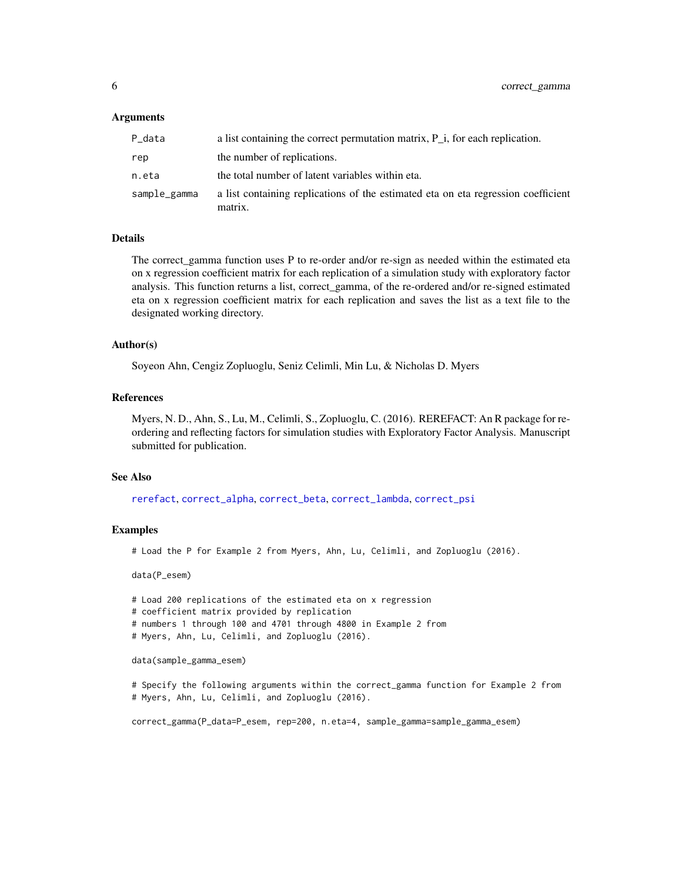#### <span id="page-5-0"></span>Arguments

| P_data       | a list containing the correct permutation matrix, $P_i$ , for each replication.              |
|--------------|----------------------------------------------------------------------------------------------|
| rep          | the number of replications.                                                                  |
| n.eta        | the total number of latent variables within eta.                                             |
| sample_gamma | a list containing replications of the estimated eta on eta regression coefficient<br>matrix. |

#### Details

The correct\_gamma function uses P to re-order and/or re-sign as needed within the estimated eta on x regression coefficient matrix for each replication of a simulation study with exploratory factor analysis. This function returns a list, correct\_gamma, of the re-ordered and/or re-signed estimated eta on x regression coefficient matrix for each replication and saves the list as a text file to the designated working directory.

#### Author(s)

Soyeon Ahn, Cengiz Zopluoglu, Seniz Celimli, Min Lu, & Nicholas D. Myers

# References

Myers, N. D., Ahn, S., Lu, M., Celimli, S., Zopluoglu, C. (2016). REREFACT: An R package for reordering and reflecting factors for simulation studies with Exploratory Factor Analysis. Manuscript submitted for publication.

#### See Also

[rerefact](#page-11-1), [correct\\_alpha](#page-2-1), [correct\\_beta](#page-3-1), [correct\\_lambda](#page-6-1), [correct\\_psi](#page-7-1)

#### Examples

# Load the P for Example 2 from Myers, Ahn, Lu, Celimli, and Zopluoglu (2016).

data(P\_esem)

# Load 200 replications of the estimated eta on x regression

- # coefficient matrix provided by replication
- # numbers 1 through 100 and 4701 through 4800 in Example 2 from
- # Myers, Ahn, Lu, Celimli, and Zopluoglu (2016).

data(sample\_gamma\_esem)

# Specify the following arguments within the correct\_gamma function for Example 2 from # Myers, Ahn, Lu, Celimli, and Zopluoglu (2016).

correct\_gamma(P\_data=P\_esem, rep=200, n.eta=4, sample\_gamma=sample\_gamma\_esem)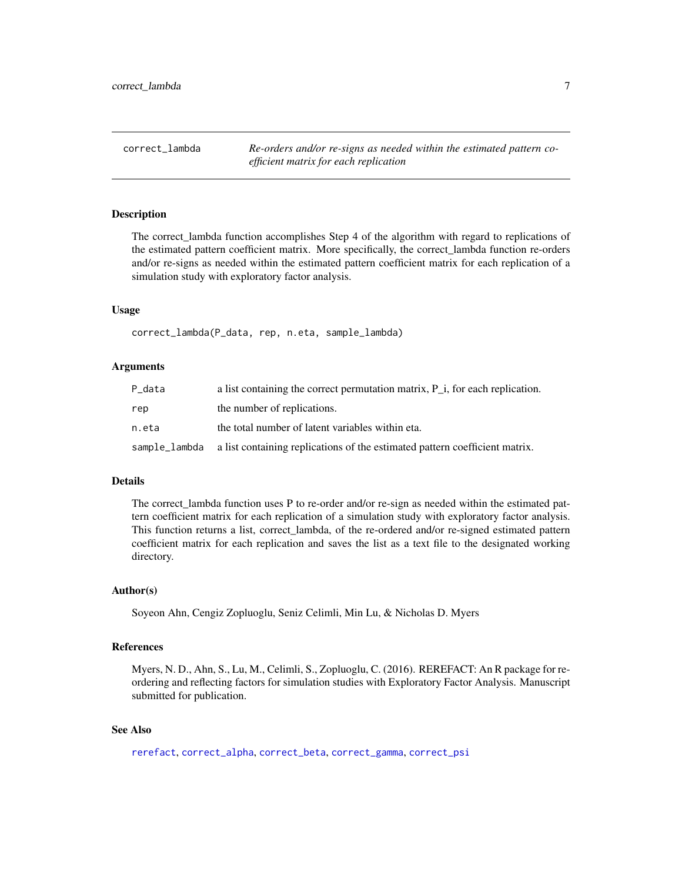<span id="page-6-1"></span><span id="page-6-0"></span>correct\_lambda *Re-orders and/or re-signs as needed within the estimated pattern coefficient matrix for each replication*

#### Description

The correct\_lambda function accomplishes Step 4 of the algorithm with regard to replications of the estimated pattern coefficient matrix. More specifically, the correct\_lambda function re-orders and/or re-signs as needed within the estimated pattern coefficient matrix for each replication of a simulation study with exploratory factor analysis.

#### Usage

correct\_lambda(P\_data, rep, n.eta, sample\_lambda)

# Arguments

| P_data | a list containing the correct permutation matrix, $P_i$ , for each replication.           |
|--------|-------------------------------------------------------------------------------------------|
| rep    | the number of replications.                                                               |
| n.eta  | the total number of latent variables within eta.                                          |
|        | sample_lambda a list containing replications of the estimated pattern coefficient matrix. |

#### Details

The correct\_lambda function uses P to re-order and/or re-sign as needed within the estimated pattern coefficient matrix for each replication of a simulation study with exploratory factor analysis. This function returns a list, correct\_lambda, of the re-ordered and/or re-signed estimated pattern coefficient matrix for each replication and saves the list as a text file to the designated working directory.

#### Author(s)

Soyeon Ahn, Cengiz Zopluoglu, Seniz Celimli, Min Lu, & Nicholas D. Myers

#### References

Myers, N. D., Ahn, S., Lu, M., Celimli, S., Zopluoglu, C. (2016). REREFACT: An R package for reordering and reflecting factors for simulation studies with Exploratory Factor Analysis. Manuscript submitted for publication.

# See Also

[rerefact](#page-11-1), [correct\\_alpha](#page-2-1), [correct\\_beta](#page-3-1), [correct\\_gamma](#page-4-1), [correct\\_psi](#page-7-1)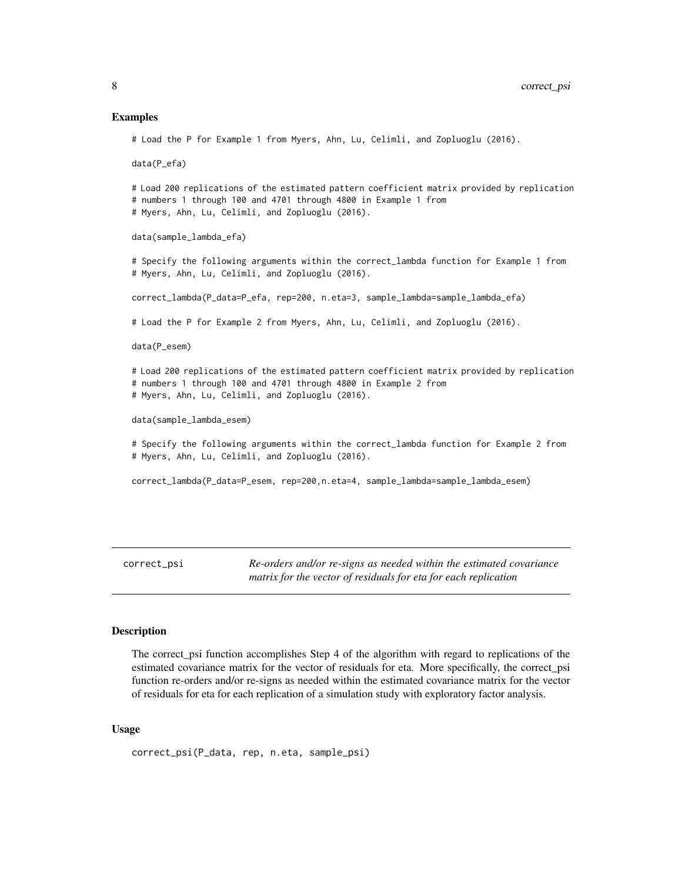#### <span id="page-7-0"></span>Examples

# Load the P for Example 1 from Myers, Ahn, Lu, Celimli, and Zopluoglu (2016).

data(P\_efa)

# Load 200 replications of the estimated pattern coefficient matrix provided by replication # numbers 1 through 100 and 4701 through 4800 in Example 1 from # Myers, Ahn, Lu, Celimli, and Zopluoglu (2016).

data(sample\_lambda\_efa)

# Specify the following arguments within the correct\_lambda function for Example 1 from # Myers, Ahn, Lu, Celimli, and Zopluoglu (2016).

correct\_lambda(P\_data=P\_efa, rep=200, n.eta=3, sample\_lambda=sample\_lambda\_efa)

# Load the P for Example 2 from Myers, Ahn, Lu, Celimli, and Zopluoglu (2016).

data(P\_esem)

# Load 200 replications of the estimated pattern coefficient matrix provided by replication # numbers 1 through 100 and 4701 through 4800 in Example 2 from # Myers, Ahn, Lu, Celimli, and Zopluoglu (2016).

data(sample\_lambda\_esem)

# Specify the following arguments within the correct\_lambda function for Example 2 from # Myers, Ahn, Lu, Celimli, and Zopluoglu (2016).

correct\_lambda(P\_data=P\_esem, rep=200,n.eta=4, sample\_lambda=sample\_lambda\_esem)

<span id="page-7-1"></span>correct\_psi *Re-orders and/or re-signs as needed within the estimated covariance matrix for the vector of residuals for eta for each replication*

#### Description

The correct\_psi function accomplishes Step 4 of the algorithm with regard to replications of the estimated covariance matrix for the vector of residuals for eta. More specifically, the correct\_psi function re-orders and/or re-signs as needed within the estimated covariance matrix for the vector of residuals for eta for each replication of a simulation study with exploratory factor analysis.

#### Usage

```
correct_psi(P_data, rep, n.eta, sample_psi)
```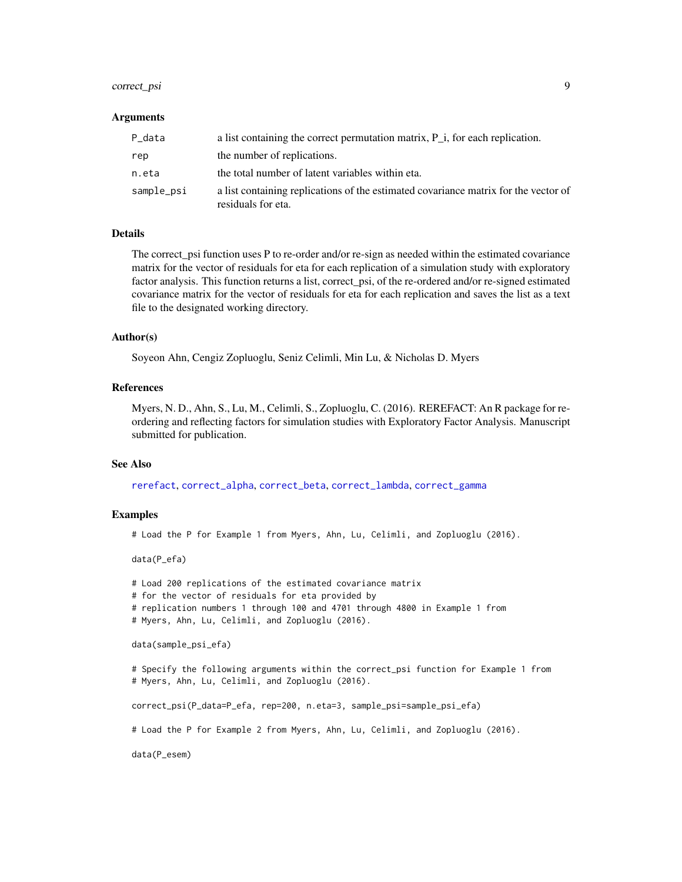# <span id="page-8-0"></span>correct\_psi 9

#### Arguments

| P_data     | a list containing the correct permutation matrix, $P_i$ , for each replication.                           |
|------------|-----------------------------------------------------------------------------------------------------------|
| rep        | the number of replications.                                                                               |
| n.eta      | the total number of latent variables within eta.                                                          |
| sample_psi | a list containing replications of the estimated covariance matrix for the vector of<br>residuals for eta. |

## Details

The correct\_psi function uses P to re-order and/or re-sign as needed within the estimated covariance matrix for the vector of residuals for eta for each replication of a simulation study with exploratory factor analysis. This function returns a list, correct\_psi, of the re-ordered and/or re-signed estimated covariance matrix for the vector of residuals for eta for each replication and saves the list as a text file to the designated working directory.

#### Author(s)

Soyeon Ahn, Cengiz Zopluoglu, Seniz Celimli, Min Lu, & Nicholas D. Myers

#### References

Myers, N. D., Ahn, S., Lu, M., Celimli, S., Zopluoglu, C. (2016). REREFACT: An R package for reordering and reflecting factors for simulation studies with Exploratory Factor Analysis. Manuscript submitted for publication.

#### See Also

[rerefact](#page-11-1), [correct\\_alpha](#page-2-1), [correct\\_beta](#page-3-1), [correct\\_lambda](#page-6-1), [correct\\_gamma](#page-4-1)

#### Examples

# Load the P for Example 1 from Myers, Ahn, Lu, Celimli, and Zopluoglu (2016).

data(P\_efa)

# Load 200 replications of the estimated covariance matrix # for the vector of residuals for eta provided by # replication numbers 1 through 100 and 4701 through 4800 in Example 1 from # Myers, Ahn, Lu, Celimli, and Zopluoglu (2016). data(sample\_psi\_efa) # Specify the following arguments within the correct\_psi function for Example 1 from # Myers, Ahn, Lu, Celimli, and Zopluoglu (2016). correct\_psi(P\_data=P\_efa, rep=200, n.eta=3, sample\_psi=sample\_psi\_efa) # Load the P for Example 2 from Myers, Ahn, Lu, Celimli, and Zopluoglu (2016). data(P\_esem)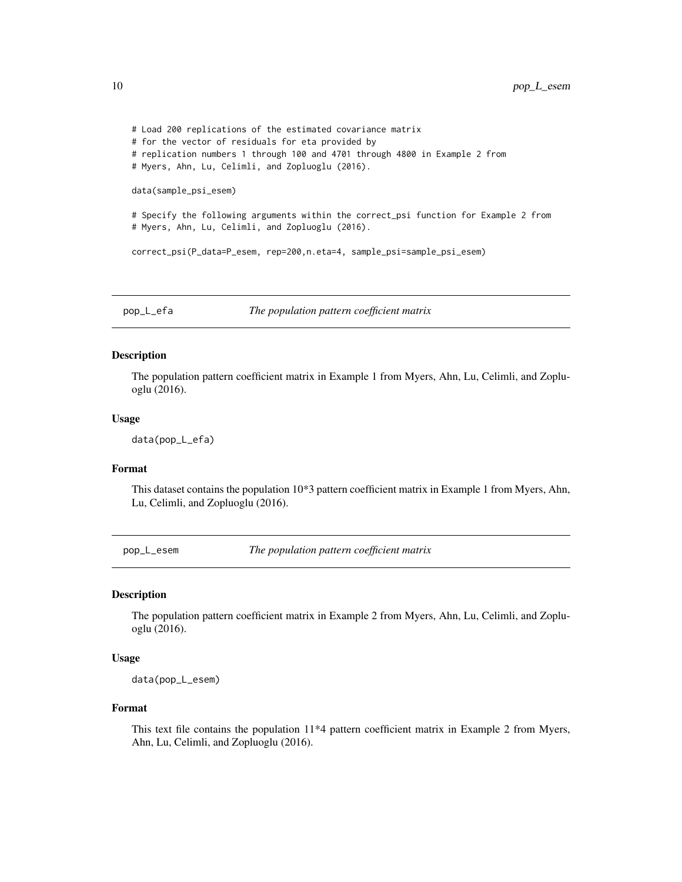```
# Load 200 replications of the estimated covariance matrix
# for the vector of residuals for eta provided by
# replication numbers 1 through 100 and 4701 through 4800 in Example 2 from
# Myers, Ahn, Lu, Celimli, and Zopluoglu (2016).
data(sample_psi_esem)
# Specify the following arguments within the correct_psi function for Example 2 from
# Myers, Ahn, Lu, Celimli, and Zopluoglu (2016).
correct_psi(P_data=P_esem, rep=200,n.eta=4, sample_psi=sample_psi_esem)
```
pop\_L\_efa *The population pattern coefficient matrix*

#### Description

The population pattern coefficient matrix in Example 1 from Myers, Ahn, Lu, Celimli, and Zopluoglu (2016).

#### Usage

```
data(pop_L_efa)
```
### Format

This dataset contains the population 10\*3 pattern coefficient matrix in Example 1 from Myers, Ahn, Lu, Celimli, and Zopluoglu (2016).

pop\_L\_esem *The population pattern coefficient matrix*

### Description

The population pattern coefficient matrix in Example 2 from Myers, Ahn, Lu, Celimli, and Zopluoglu (2016).

#### Usage

data(pop\_L\_esem)

#### Format

This text file contains the population 11\*4 pattern coefficient matrix in Example 2 from Myers, Ahn, Lu, Celimli, and Zopluoglu (2016).

<span id="page-9-0"></span>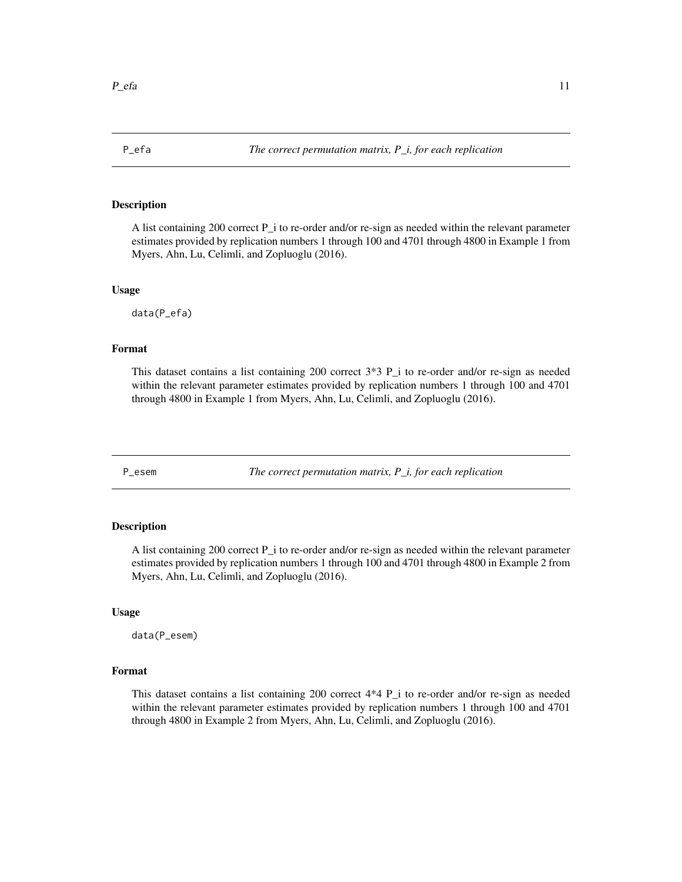<span id="page-10-0"></span>

#### Description

A list containing 200 correct P\_i to re-order and/or re-sign as needed within the relevant parameter estimates provided by replication numbers 1 through 100 and 4701 through 4800 in Example 1 from Myers, Ahn, Lu, Celimli, and Zopluoglu (2016).

#### Usage

data(P\_efa)

# Format

This dataset contains a list containing 200 correct 3\*3 P\_i to re-order and/or re-sign as needed within the relevant parameter estimates provided by replication numbers 1 through 100 and 4701 through 4800 in Example 1 from Myers, Ahn, Lu, Celimli, and Zopluoglu (2016).

P\_esem *The correct permutation matrix, P\_i, for each replication*

# Description

A list containing 200 correct P\_i to re-order and/or re-sign as needed within the relevant parameter estimates provided by replication numbers 1 through 100 and 4701 through 4800 in Example 2 from Myers, Ahn, Lu, Celimli, and Zopluoglu (2016).

#### Usage

data(P\_esem)

#### Format

This dataset contains a list containing 200 correct 4\*4 P\_i to re-order and/or re-sign as needed within the relevant parameter estimates provided by replication numbers 1 through 100 and 4701 through 4800 in Example 2 from Myers, Ahn, Lu, Celimli, and Zopluoglu (2016).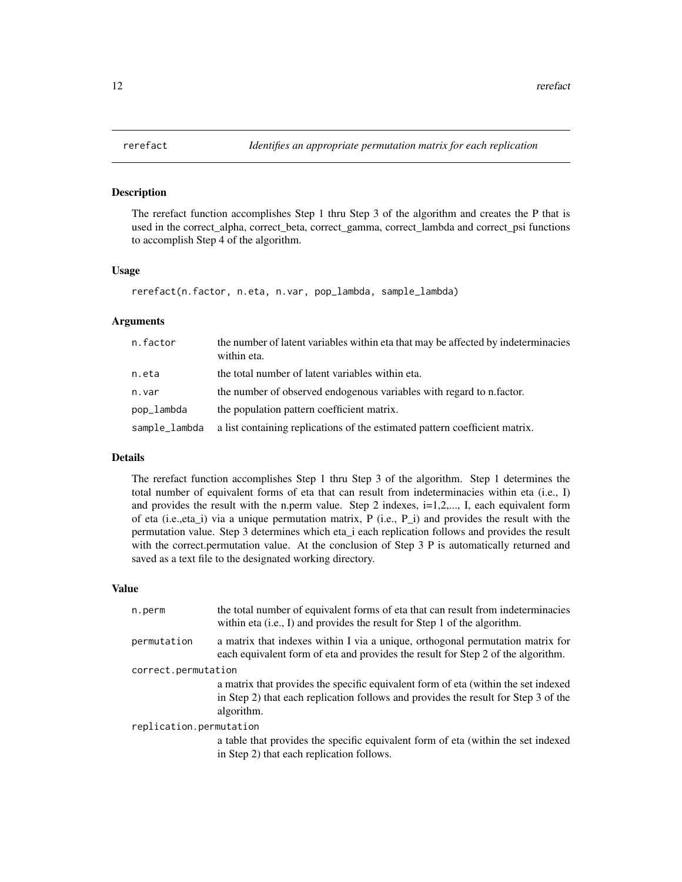<span id="page-11-1"></span><span id="page-11-0"></span>

#### Description

The rerefact function accomplishes Step 1 thru Step 3 of the algorithm and creates the P that is used in the correct\_alpha, correct\_beta, correct\_gamma, correct\_lambda and correct\_psi functions to accomplish Step 4 of the algorithm.

### Usage

rerefact(n.factor, n.eta, n.var, pop\_lambda, sample\_lambda)

#### Arguments

| n.factor      | the number of latent variables within eta that may be affected by indeterminacies<br>within eta. |
|---------------|--------------------------------------------------------------------------------------------------|
| n.eta         | the total number of latent variables within eta.                                                 |
| n.var         | the number of observed endogenous variables with regard to n.factor.                             |
| pop_lambda    | the population pattern coefficient matrix.                                                       |
| sample_lambda | a list containing replications of the estimated pattern coefficient matrix.                      |

### Details

The rerefact function accomplishes Step 1 thru Step 3 of the algorithm. Step 1 determines the total number of equivalent forms of eta that can result from indeterminacies within eta (i.e., I) and provides the result with the n.perm value. Step 2 indexes,  $i=1,2,..., I$ , each equivalent form of eta (i.e.,eta\_i) via a unique permutation matrix, P (i.e., P\_i) and provides the result with the permutation value. Step 3 determines which eta\_i each replication follows and provides the result with the correct.permutation value. At the conclusion of Step 3 P is automatically returned and saved as a text file to the designated working directory.

#### Value

| n.perm                  | the total number of equivalent forms of eta that can result from indeterminacies<br>within eta $(i.e., I)$ and provides the result for Step 1 of the algorithm.                         |
|-------------------------|-----------------------------------------------------------------------------------------------------------------------------------------------------------------------------------------|
| permutation             | a matrix that indexes within I via a unique, orthogonal permutation matrix for<br>each equivalent form of eta and provides the result for Step 2 of the algorithm.                      |
| correct.permutation     |                                                                                                                                                                                         |
|                         | a matrix that provides the specific equivalent form of eta (within the set indexed)<br>in Step 2) that each replication follows and provides the result for Step 3 of the<br>algorithm. |
| replication.permutation |                                                                                                                                                                                         |
|                         | a table that provides the specific equivalent form of eta (within the set indexed<br>in Step 2) that each replication follows.                                                          |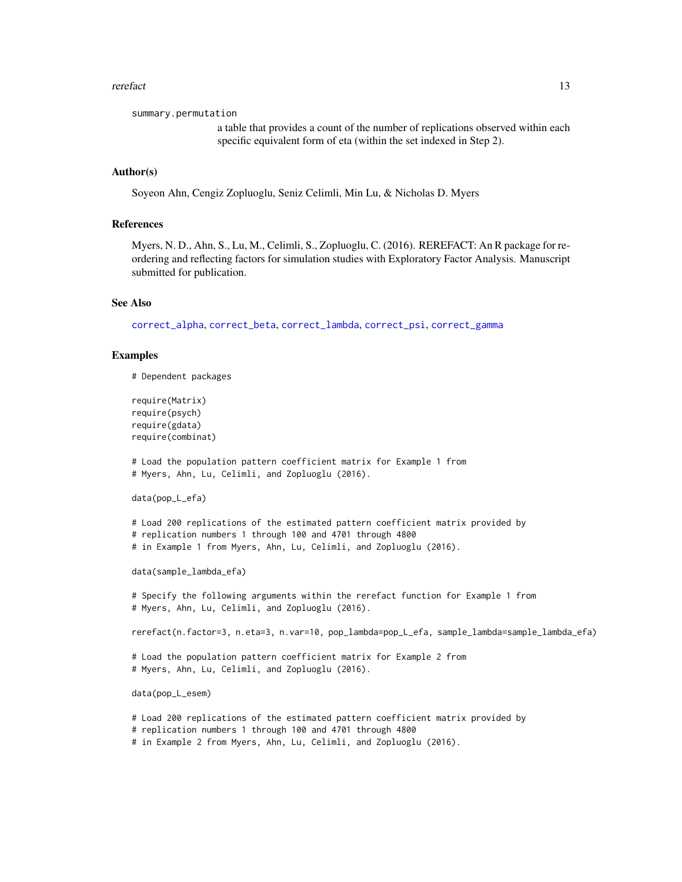#### <span id="page-12-0"></span>rerefact and the contract of the contract of the contract of the contract of the contract of the contract of the contract of the contract of the contract of the contract of the contract of the contract of the contract of t

summary.permutation

a table that provides a count of the number of replications observed within each specific equivalent form of eta (within the set indexed in Step 2).

# Author(s)

Soyeon Ahn, Cengiz Zopluoglu, Seniz Celimli, Min Lu, & Nicholas D. Myers

#### References

Myers, N. D., Ahn, S., Lu, M., Celimli, S., Zopluoglu, C. (2016). REREFACT: An R package for reordering and reflecting factors for simulation studies with Exploratory Factor Analysis. Manuscript submitted for publication.

#### See Also

[correct\\_alpha](#page-2-1), [correct\\_beta](#page-3-1), [correct\\_lambda](#page-6-1), [correct\\_psi](#page-7-1), [correct\\_gamma](#page-4-1)

#### Examples

# Dependent packages

```
require(Matrix)
require(psych)
require(gdata)
require(combinat)
```
# Load the population pattern coefficient matrix for Example 1 from # Myers, Ahn, Lu, Celimli, and Zopluoglu (2016).

data(pop\_L\_efa)

# Load 200 replications of the estimated pattern coefficient matrix provided by # replication numbers 1 through 100 and 4701 through 4800 # in Example 1 from Myers, Ahn, Lu, Celimli, and Zopluoglu (2016).

data(sample\_lambda\_efa)

# Specify the following arguments within the rerefact function for Example 1 from # Myers, Ahn, Lu, Celimli, and Zopluoglu (2016).

rerefact(n.factor=3, n.eta=3, n.var=10, pop\_lambda=pop\_L\_efa, sample\_lambda=sample\_lambda\_efa)

# Load the population pattern coefficient matrix for Example 2 from # Myers, Ahn, Lu, Celimli, and Zopluoglu (2016).

data(pop\_L\_esem)

# Load 200 replications of the estimated pattern coefficient matrix provided by

# replication numbers 1 through 100 and 4701 through 4800

```
# in Example 2 from Myers, Ahn, Lu, Celimli, and Zopluoglu (2016).
```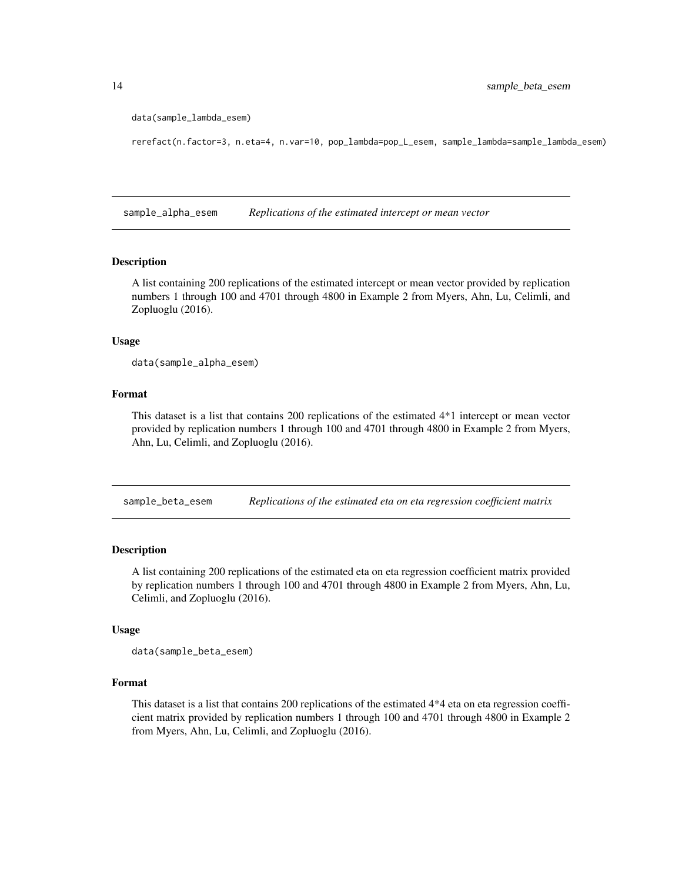```
data(sample_lambda_esem)
```
rerefact(n.factor=3, n.eta=4, n.var=10, pop\_lambda=pop\_L\_esem, sample\_lambda=sample\_lambda\_esem)

sample\_alpha\_esem *Replications of the estimated intercept or mean vector*

#### Description

A list containing 200 replications of the estimated intercept or mean vector provided by replication numbers 1 through 100 and 4701 through 4800 in Example 2 from Myers, Ahn, Lu, Celimli, and Zopluoglu (2016).

#### Usage

data(sample\_alpha\_esem)

#### Format

This dataset is a list that contains 200 replications of the estimated 4\*1 intercept or mean vector provided by replication numbers 1 through 100 and 4701 through 4800 in Example 2 from Myers, Ahn, Lu, Celimli, and Zopluoglu (2016).

sample\_beta\_esem *Replications of the estimated eta on eta regression coefficient matrix*

### Description

A list containing 200 replications of the estimated eta on eta regression coefficient matrix provided by replication numbers 1 through 100 and 4701 through 4800 in Example 2 from Myers, Ahn, Lu, Celimli, and Zopluoglu (2016).

#### Usage

data(sample\_beta\_esem)

# Format

This dataset is a list that contains 200 replications of the estimated 4\*4 eta on eta regression coefficient matrix provided by replication numbers 1 through 100 and 4701 through 4800 in Example 2 from Myers, Ahn, Lu, Celimli, and Zopluoglu (2016).

<span id="page-13-0"></span>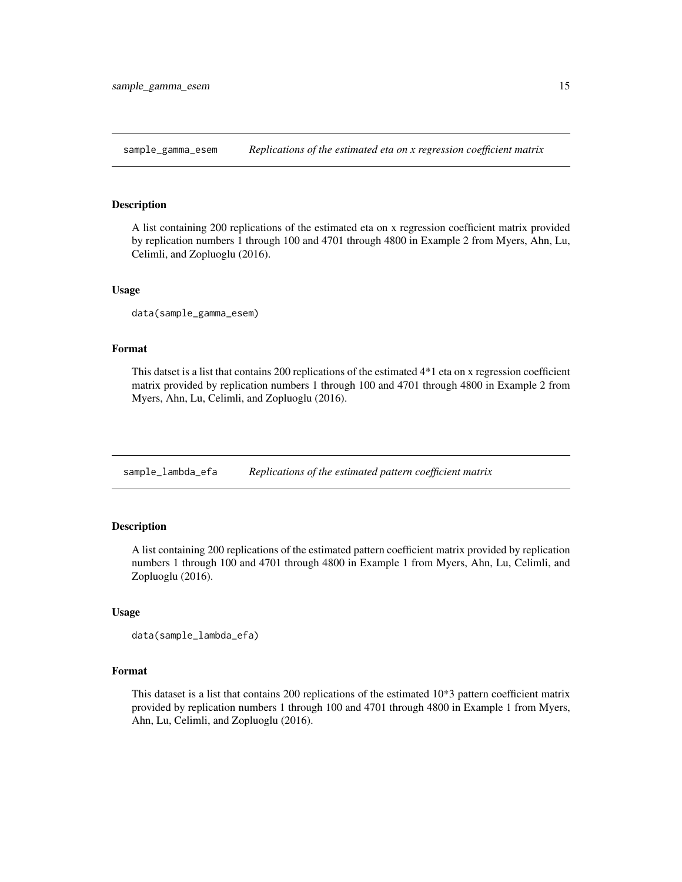<span id="page-14-0"></span>sample\_gamma\_esem *Replications of the estimated eta on x regression coefficient matrix*

#### Description

A list containing 200 replications of the estimated eta on x regression coefficient matrix provided by replication numbers 1 through 100 and 4701 through 4800 in Example 2 from Myers, Ahn, Lu, Celimli, and Zopluoglu (2016).

#### Usage

data(sample\_gamma\_esem)

# Format

This datset is a list that contains 200 replications of the estimated 4\*1 eta on x regression coefficient matrix provided by replication numbers 1 through 100 and 4701 through 4800 in Example 2 from Myers, Ahn, Lu, Celimli, and Zopluoglu (2016).

sample\_lambda\_efa *Replications of the estimated pattern coefficient matrix*

# Description

A list containing 200 replications of the estimated pattern coefficient matrix provided by replication numbers 1 through 100 and 4701 through 4800 in Example 1 from Myers, Ahn, Lu, Celimli, and Zopluoglu (2016).

#### Usage

```
data(sample_lambda_efa)
```
#### Format

This dataset is a list that contains 200 replications of the estimated 10\*3 pattern coefficient matrix provided by replication numbers 1 through 100 and 4701 through 4800 in Example 1 from Myers, Ahn, Lu, Celimli, and Zopluoglu (2016).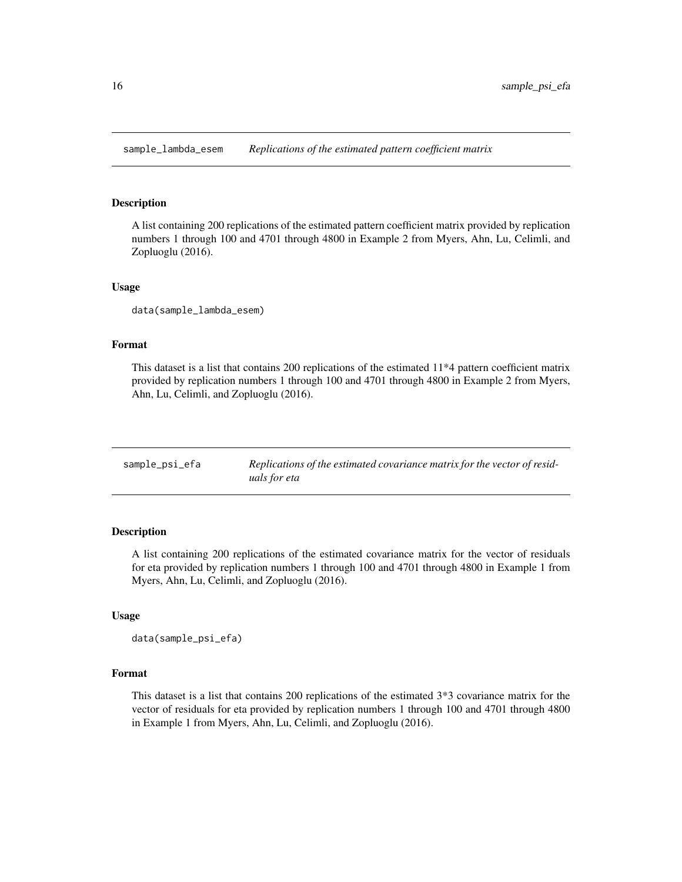<span id="page-15-0"></span>sample\_lambda\_esem *Replications of the estimated pattern coefficient matrix*

#### Description

A list containing 200 replications of the estimated pattern coefficient matrix provided by replication numbers 1 through 100 and 4701 through 4800 in Example 2 from Myers, Ahn, Lu, Celimli, and Zopluoglu (2016).

#### Usage

data(sample\_lambda\_esem)

## Format

This dataset is a list that contains 200 replications of the estimated 11\*4 pattern coefficient matrix provided by replication numbers 1 through 100 and 4701 through 4800 in Example 2 from Myers, Ahn, Lu, Celimli, and Zopluoglu (2016).

| sample_psi_efa | Replications of the estimated covariance matrix for the vector of resid- |
|----------------|--------------------------------------------------------------------------|
|                | uals for eta                                                             |

# Description

A list containing 200 replications of the estimated covariance matrix for the vector of residuals for eta provided by replication numbers 1 through 100 and 4701 through 4800 in Example 1 from Myers, Ahn, Lu, Celimli, and Zopluoglu (2016).

#### Usage

```
data(sample_psi_efa)
```
#### Format

This dataset is a list that contains 200 replications of the estimated 3\*3 covariance matrix for the vector of residuals for eta provided by replication numbers 1 through 100 and 4701 through 4800 in Example 1 from Myers, Ahn, Lu, Celimli, and Zopluoglu (2016).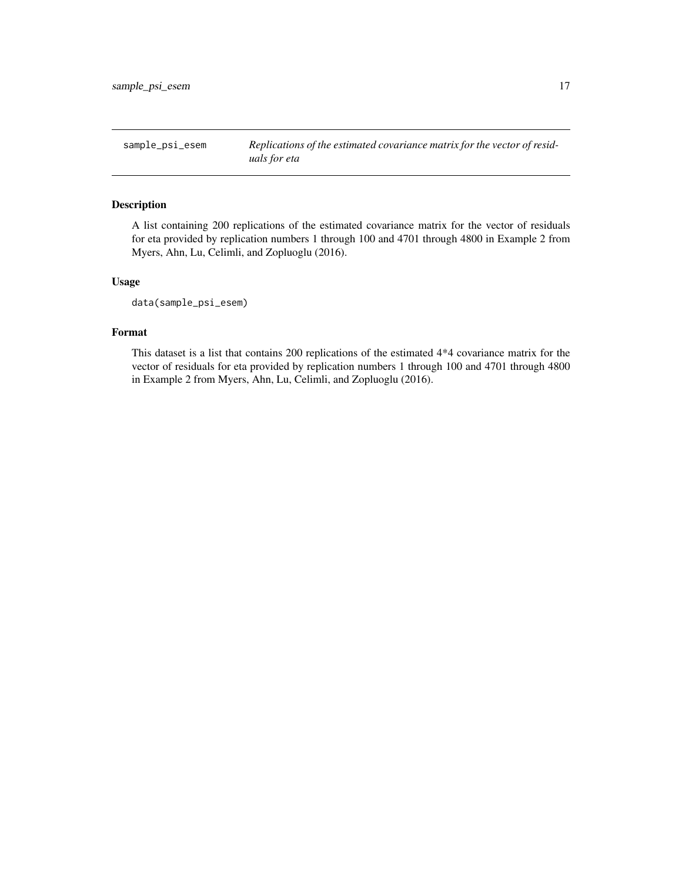<span id="page-16-0"></span>sample\_psi\_esem *Replications of the estimated covariance matrix for the vector of residuals for eta*

# Description

A list containing 200 replications of the estimated covariance matrix for the vector of residuals for eta provided by replication numbers 1 through 100 and 4701 through 4800 in Example 2 from Myers, Ahn, Lu, Celimli, and Zopluoglu (2016).

# Usage

data(sample\_psi\_esem)

### Format

This dataset is a list that contains 200 replications of the estimated 4\*4 covariance matrix for the vector of residuals for eta provided by replication numbers 1 through 100 and 4701 through 4800 in Example 2 from Myers, Ahn, Lu, Celimli, and Zopluoglu (2016).